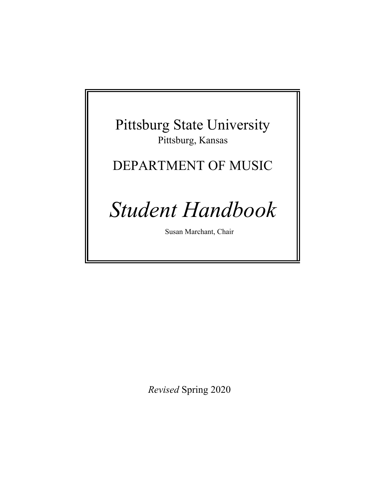## Pittsburg State University Pittsburg, Kansas

## DEPARTMENT OF MUSIC

# *Student Handbook*

Susan Marchant, Chair

*Revised* Spring 2020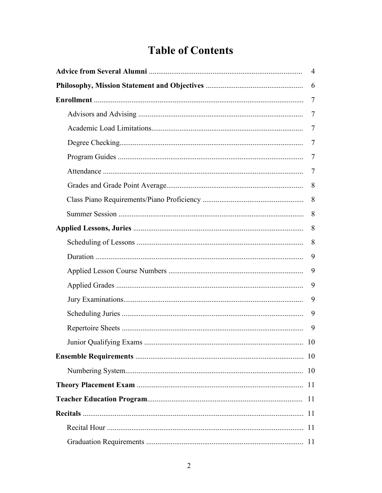## **Table of Contents**

| $\overline{4}$ |     |  |  |  |
|----------------|-----|--|--|--|
|                | 6   |  |  |  |
|                | 7   |  |  |  |
|                | 7   |  |  |  |
|                | 7   |  |  |  |
|                | 7   |  |  |  |
|                | 7   |  |  |  |
|                | 7   |  |  |  |
|                | 8   |  |  |  |
|                | 8   |  |  |  |
|                | 8   |  |  |  |
|                | 8   |  |  |  |
|                | 8   |  |  |  |
|                | 9   |  |  |  |
|                | 9   |  |  |  |
|                | 9   |  |  |  |
|                | 9   |  |  |  |
|                | 9   |  |  |  |
|                | 9   |  |  |  |
| …… 10          |     |  |  |  |
|                | 10  |  |  |  |
|                | 10  |  |  |  |
|                |     |  |  |  |
|                | -11 |  |  |  |
|                |     |  |  |  |
|                |     |  |  |  |
|                |     |  |  |  |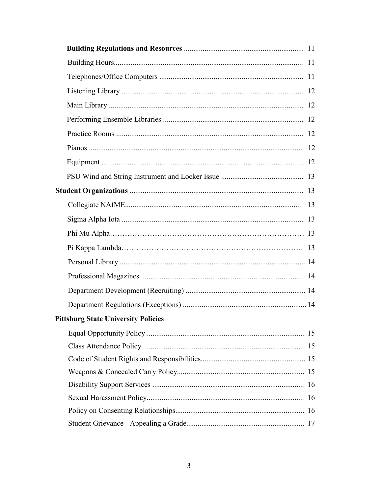| <b>Pittsburg State University Policies</b> |    |
|--------------------------------------------|----|
|                                            |    |
|                                            | 15 |
|                                            |    |
|                                            |    |
|                                            |    |
|                                            |    |
|                                            |    |
|                                            |    |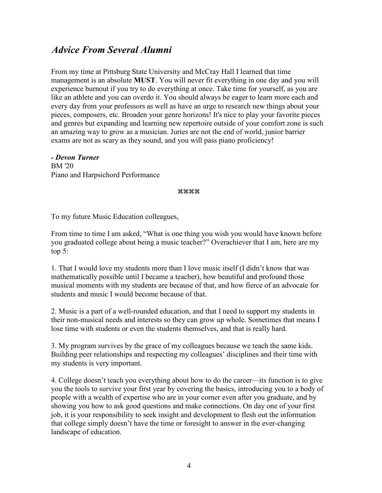#### *Advice From Several Alumni*

From my time at Pittsburg State University and McCray Hall I learned that time management is an absolute **MUST**. You will never fit everything in one day and you will experience burnout if you try to do everything at once. Take time for yourself, as you are like an athlete and you can overdo it. You should always be eager to learn more each and every day from your professors as well as have an urge to research new things about your pieces, composers, etc. Broaden your genre horizons! It's nice to play your favorite pieces and genres but expanding and learning new repertoire outside of your comfort zone is such an amazing way to grow as a musician. Juries are not the end of world, junior barrier exams are not as scary as they sound, and you will pass piano proficiency!

*- Devon Turner* BM '20 Piano and Harpsichord Performance

#### \*\*\*\*

To my future Music Education colleagues,

From time to time I am asked, "What is one thing you wish you would have known before you graduated college about being a music teacher?" Overachiever that I am, here are my top 5:

1. That I would love my students more than I love music itself (I didn't know that was mathematically possible until I became a teacher), how beautiful and profound those musical moments with my students are because of that, and how fierce of an advocate for students and music I would become because of that.

2. Music is a part of a well-rounded education, and that I need to support my students in their non-musical needs and interests so they can grow up whole. Sometimes that means I lose time with students or even the students themselves, and that is really hard.

3. My program survives by the grace of my colleagues because we teach the same kids. Building peer relationships and respecting my colleagues' disciplines and their time with my students is very important.

4. College doesn't teach you everything about how to do the career—its function is to give you the tools to survive your first year by covering the basics, introducing you to a body of people with a wealth of expertise who are in your corner even after you graduate, and by showing you how to ask good questions and make connections. On day one of your first job, it is your responsibility to seek insight and development to flesh out the information that college simply doesn't have the time or foresight to answer in the ever-changing landscape of education.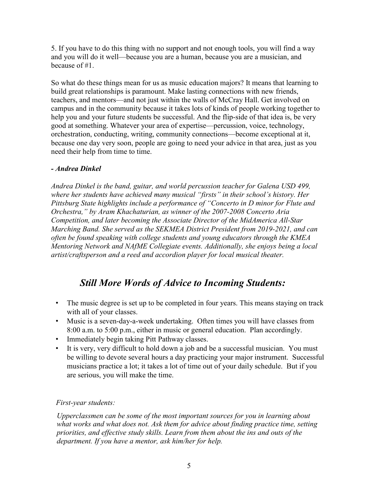5. If you have to do this thing with no support and not enough tools, you will find a way and you will do it well—because you are a human, because you are a musician, and because of #1.

So what do these things mean for us as music education majors? It means that learning to build great relationships is paramount. Make lasting connections with new friends, teachers, and mentors—and not just within the walls of McCray Hall. Get involved on campus and in the community because it takes lots of kinds of people working together to help you and your future students be successful. And the flip-side of that idea is, be very good at something. Whatever your area of expertise—percussion, voice, technology, orchestration, conducting, writing, community connections—become exceptional at it, because one day very soon, people are going to need your advice in that area, just as you need their help from time to time.

#### *- Andrea Dinkel*

*Andrea Dinkel is the band, guitar, and world percussion teacher for Galena USD 499, where her students have achieved many musical "firsts" in their school's history. Her Pittsburg State highlights include a performance of "Concerto in D minor for Flute and Orchestra," by Aram Khachaturian, as winner of the 2007-2008 Concerto Aria Competition, and later becoming the Associate Director of the MidAmerica All-Star Marching Band. She served as the SEKMEA District President from 2019-2021, and can often be found speaking with college students and young educators through the KMEA Mentoring Network and NAfME Collegiate events. Additionally, she enjoys being a local artist/craftsperson and a reed and accordion player for local musical theater.* 

### *Still More Words of Advice to Incoming Students:*

- The music degree is set up to be completed in four years. This means staying on track with all of your classes.
- Music is a seven-day-a-week undertaking. Often times you will have classes from 8:00 a.m. to 5:00 p.m., either in music or general education. Plan accordingly.
- Immediately begin taking Pitt Pathway classes.
- It is very, very difficult to hold down a job and be a successful musician. You must be willing to devote several hours a day practicing your major instrument. Successful musicians practice a lot; it takes a lot of time out of your daily schedule. But if you are serious, you will make the time.

#### *First-year students:*

*Upperclassmen can be some of the most important sources for you in learning about what works and what does not. Ask them for advice about finding practice time, setting priorities, and effective study skills. Learn from them about the ins and outs of the department. If you have a mentor, ask him/her for help.*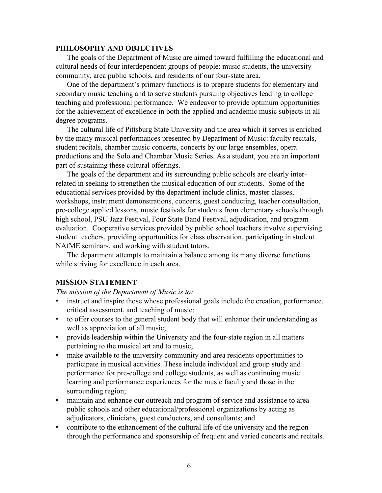#### **PHILOSOPHY AND OBJECTIVES**

The goals of the Department of Music are aimed toward fulfilling the educational and cultural needs of four interdependent groups of people: music students, the university community, area public schools, and residents of our four-state area.

One of the department's primary functions is to prepare students for elementary and secondary music teaching and to serve students pursuing objectives leading to college teaching and professional performance. We endeavor to provide optimum opportunities for the achievement of excellence in both the applied and academic music subjects in all degree programs.

The cultural life of Pittsburg State University and the area which it serves is enriched by the many musical performances presented by Department of Music: faculty recitals, student recitals, chamber music concerts, concerts by our large ensembles, opera productions and the Solo and Chamber Music Series. As a student, you are an important part of sustaining these cultural offerings.

The goals of the department and its surrounding public schools are clearly interrelated in seeking to strengthen the musical education of our students. Some of the educational services provided by the department include clinics, master classes, workshops, instrument demonstrations, concerts, guest conducting, teacher consultation, pre-college applied lessons, music festivals for students from elementary schools through high school, PSU Jazz Festival, Four State Band Festival, adjudication, and program evaluation. Cooperative services provided by public school teachers involve supervising student teachers, providing opportunities for class observation, participating in student NAfME seminars, and working with student tutors.

The department attempts to maintain a balance among its many diverse functions while striving for excellence in each area.

#### **MISSION STATEMENT**

*The mission of the Department of Music is to:*

- instruct and inspire those whose professional goals include the creation, performance, critical assessment, and teaching of music;
- to offer courses to the general student body that will enhance their understanding as well as appreciation of all music;
- provide leadership within the University and the four-state region in all matters pertaining to the musical art and to music;
- make available to the university community and area residents opportunities to participate in musical activities. These include individual and group study and performance for pre-college and college students, as well as continuing music learning and performance experiences for the music faculty and those in the surrounding region;
- maintain and enhance our outreach and program of service and assistance to area public schools and other educational/professional organizations by acting as adjudicators, clinicians, guest conductors, and consultants; and
- contribute to the enhancement of the cultural life of the university and the region through the performance and sponsorship of frequent and varied concerts and recitals.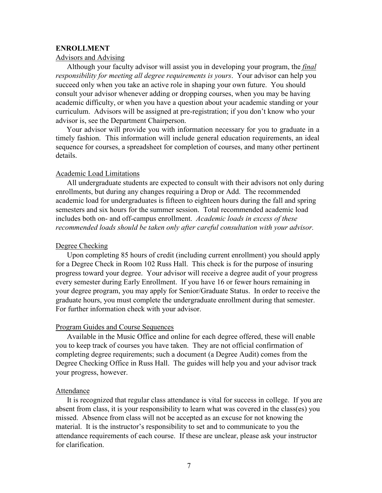#### **ENROLLMENT**

#### Advisors and Advising

Although your faculty advisor will assist you in developing your program, the *final responsibility for meeting all degree requirements is yours*. Your advisor can help you succeed only when you take an active role in shaping your own future. You should consult your advisor whenever adding or dropping courses, when you may be having academic difficulty, or when you have a question about your academic standing or your curriculum. Advisors will be assigned at pre-registration; if you don't know who your advisor is, see the Department Chairperson.

Your advisor will provide you with information necessary for you to graduate in a timely fashion. This information will include general education requirements, an ideal sequence for courses, a spreadsheet for completion of courses, and many other pertinent details.

#### Academic Load Limitations

All undergraduate students are expected to consult with their advisors not only during enrollments, but during any changes requiring a Drop or Add. The recommended academic load for undergraduates is fifteen to eighteen hours during the fall and spring semesters and six hours for the summer session. Total recommended academic load includes both on- and off-campus enrollment. *Academic loads in excess of these recommended loads should be taken only after careful consultation with your advisor.*

#### Degree Checking

Upon completing 85 hours of credit (including current enrollment) you should apply for a Degree Check in Room 102 Russ Hall. This check is for the purpose of insuring progress toward your degree. Your advisor will receive a degree audit of your progress every semester during Early Enrollment. If you have 16 or fewer hours remaining in your degree program, you may apply for Senior/Graduate Status. In order to receive the graduate hours, you must complete the undergraduate enrollment during that semester. For further information check with your advisor.

#### Program Guides and Course Sequences

Available in the Music Office and online for each degree offered, these will enable you to keep track of courses you have taken. They are not official confirmation of completing degree requirements; such a document (a Degree Audit) comes from the Degree Checking Office in Russ Hall. The guides will help you and your advisor track your progress, however.

#### Attendance

It is recognized that regular class attendance is vital for success in college. If you are absent from class, it is your responsibility to learn what was covered in the class(es) you missed. Absence from class will not be accepted as an excuse for not knowing the material. It is the instructor's responsibility to set and to communicate to you the attendance requirements of each course. If these are unclear, please ask your instructor for clarification.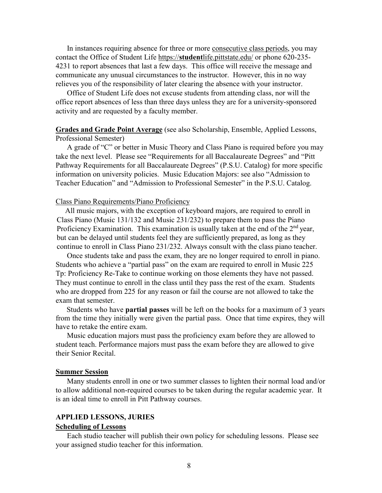In instances requiring absence for three or more consecutive class periods, you may contact the Office of Student Life https://**student**[life.pittstate.edu/](https://studentlife.pittstate.edu/) or phone 620-235- 4231 to report absences that last a few days. This office will receive the message and communicate any unusual circumstances to the instructor. However, this in no way relieves you of the responsibility of later clearing the absence with your instructor.

Office of Student Life does not excuse students from attending class, nor will the office report absences of less than three days unless they are for a university-sponsored activity and are requested by a faculty member.

#### **Grades and Grade Point Average** (see also Scholarship, Ensemble, Applied Lessons, Professional Semester)

A grade of "C" or better in Music Theory and Class Piano is required before you may take the next level. Please see "Requirements for all Baccalaureate Degrees" and "Pitt Pathway Requirements for all Baccalaureate Degrees" (P.S.U. Catalog) for more specific information on university policies. Music Education Majors: see also "Admission to Teacher Education" and "Admission to Professional Semester" in the P.S.U. Catalog.

#### Class Piano Requirements/Piano Proficiency

All music majors, with the exception of keyboard majors, are required to enroll in Class Piano (Music 131/132 and Music 231/232) to prepare them to pass the Piano Proficiency Examination. This examination is usually taken at the end of the  $2<sup>nd</sup>$  year, but can be delayed until students feel they are sufficiently prepared, as long as they continue to enroll in Class Piano 231/232. Always consult with the class piano teacher.

Once students take and pass the exam, they are no longer required to enroll in piano. Students who achieve a "partial pass" on the exam are required to enroll in Music 225 Tp: Proficiency Re-Take to continue working on those elements they have not passed. They must continue to enroll in the class until they pass the rest of the exam. Students who are dropped from 225 for any reason or fail the course are not allowed to take the exam that semester.

Students who have **partial passes** will be left on the books for a maximum of 3 years from the time they initially were given the partial pass. Once that time expires, they will have to retake the entire exam.

Music education majors must pass the proficiency exam before they are allowed to student teach. Performance majors must pass the exam before they are allowed to give their Senior Recital.

#### **Summer Session**

Many students enroll in one or two summer classes to lighten their normal load and/or to allow additional non-required courses to be taken during the regular academic year. It is an ideal time to enroll in Pitt Pathway courses.

#### **APPLIED LESSONS, JURIES**

#### **Scheduling of Lessons**

Each studio teacher will publish their own policy for scheduling lessons. Please see your assigned studio teacher for this information.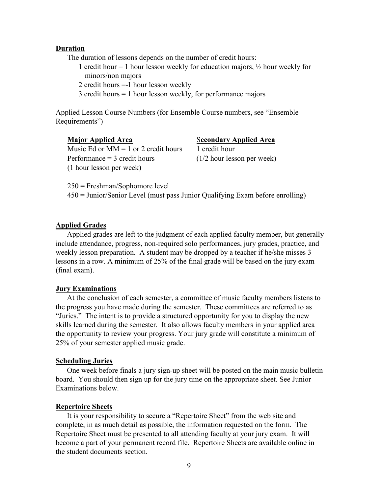#### **Duration**

The duration of lessons depends on the number of credit hours:

1 credit hour = 1 hour lesson weekly for education majors,  $\frac{1}{2}$  hour weekly for minors/non majors

2 credit hours = 1 hour lesson weekly

3 credit hours = 1 hour lesson weekly, for performance majors

Applied Lesson Course Numbers (for Ensemble Course numbers, see "Ensemble Requirements")

#### **Major Applied Area** Secondary Applied Area Music Ed or  $MM = 1$  or 2 credit hours 1 credit hour Performance  $=$  3 credit hours

(1/2 hour lesson per week)

250 = Freshman/Sophomore level

(1 hour lesson per week)

450 = Junior/Senior Level (must pass Junior Qualifying Exam before enrolling)

#### **Applied Grades**

Applied grades are left to the judgment of each applied faculty member, but generally include attendance, progress, non-required solo performances, jury grades, practice, and weekly lesson preparation. A student may be dropped by a teacher if he/she misses 3 lessons in a row. A minimum of 25% of the final grade will be based on the jury exam (final exam).

#### **Jury Examinations**

At the conclusion of each semester, a committee of music faculty members listens to the progress you have made during the semester. These committees are referred to as "Juries." The intent is to provide a structured opportunity for you to display the new skills learned during the semester. It also allows faculty members in your applied area the opportunity to review your progress. Your jury grade will constitute a minimum of 25% of your semester applied music grade.

#### **Scheduling Juries**

One week before finals a jury sign-up sheet will be posted on the main music bulletin board. You should then sign up for the jury time on the appropriate sheet. See Junior Examinations below.

#### **Repertoire Sheets**

It is your responsibility to secure a "Repertoire Sheet" from the web site and complete, in as much detail as possible, the information requested on the form. The Repertoire Sheet must be presented to all attending faculty at your jury exam. It will become a part of your permanent record file. Repertoire Sheets are available online in the student documents section.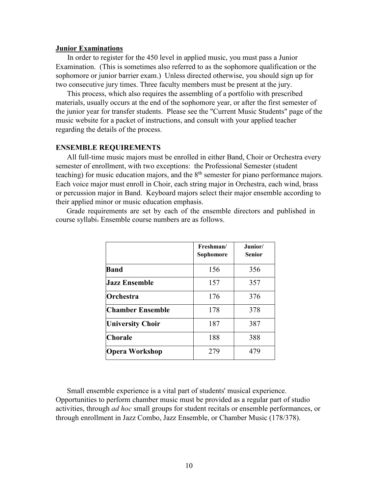#### **Junior Examinations**

In order to register for the 450 level in applied music, you must pass a Junior Examination. (This is sometimes also referred to as the sophomore qualification or the sophomore or junior barrier exam.) Unless directed otherwise, you should sign up for two consecutive jury times. Three faculty members must be present at the jury.

This process, which also requires the assembling of a portfolio with prescribed materials, usually occurs at the end of the sophomore year, or after the first semester of the junior year for transfer students. Please see the "Current Music Students" page of the music website for a packet of instructions, and consult with your applied teacher regarding the details of the process.

#### **ENSEMBLE REQUIREMENTS**

All full-time music majors must be enrolled in either Band, Choir or Orchestra every semester of enrollment, with two exceptions: the Professional Semester (student teaching) for music education majors, and the  $8<sup>th</sup>$  semester for piano performance majors. Each voice major must enroll in Choir, each string major in Orchestra, each wind, brass or percussion major in Band. Keyboard majors select their major ensemble according to their applied minor or music education emphasis.

Grade requirements are set by each of the ensemble directors and published in course syllabi. Ensemble course numbers are as follows.

|                         | Freshman/<br>Sophomore | Junior/<br><b>Senior</b> |
|-------------------------|------------------------|--------------------------|
| <b>Band</b>             | 156                    | 356                      |
| <b>Jazz Ensemble</b>    | 157                    | 357                      |
| Orchestra               | 176                    | 376                      |
| <b>Chamber Ensemble</b> | 178                    | 378                      |
| <b>University Choir</b> | 187                    | 387                      |
| <b>Chorale</b>          | 188                    | 388                      |
| <b>Opera Workshop</b>   | 279                    | 479                      |

Small ensemble experience is a vital part of students' musical experience. Opportunities to perform chamber music must be provided as a regular part of studio activities, through *ad hoc* small groups for student recitals or ensemble performances, or through enrollment in Jazz Combo, Jazz Ensemble, or Chamber Music (178/378).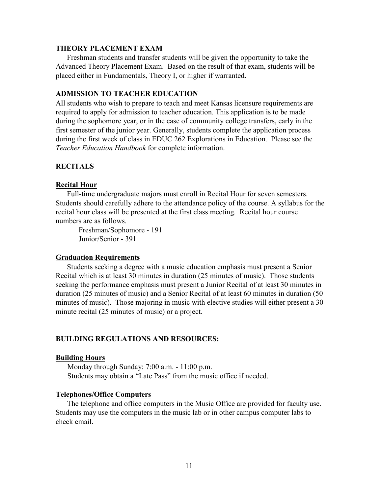#### **THEORY PLACEMENT EXAM**

Freshman students and transfer students will be given the opportunity to take the Advanced Theory Placement Exam. Based on the result of that exam, students will be placed either in Fundamentals, Theory I, or higher if warranted.

#### **ADMISSION TO TEACHER EDUCATION**

All students who wish to prepare to teach and meet Kansas licensure requirements are required to apply for admission to teacher education. This application is to be made during the sophomore year, or in the case of community college transfers, early in the first semester of the junior year. Generally, students complete the application process during the first week of class in EDUC 262 Explorations in Education. Please see the *Teacher Education Handbook* for complete information.

#### **RECITALS**

#### **Recital Hour**

Full-time undergraduate majors must enroll in Recital Hour for seven semesters. Students should carefully adhere to the attendance policy of the course. A syllabus for the recital hour class will be presented at the first class meeting. Recital hour course numbers are as follows.

Freshman/Sophomore - 191 Junior/Senior - 391

#### **Graduation Requirements**

Students seeking a degree with a music education emphasis must present a Senior Recital which is at least 30 minutes in duration (25 minutes of music). Those students seeking the performance emphasis must present a Junior Recital of at least 30 minutes in duration (25 minutes of music) and a Senior Recital of at least 60 minutes in duration (50 minutes of music). Those majoring in music with elective studies will either present a 30 minute recital (25 minutes of music) or a project.

#### **BUILDING REGULATIONS AND RESOURCES:**

#### **Building Hours**

Monday through Sunday: 7:00 a.m. - 11:00 p.m. Students may obtain a "Late Pass" from the music office if needed.

#### **Telephones/Office Computers**

The telephone and office computers in the Music Office are provided for faculty use. Students may use the computers in the music lab or in other campus computer labs to check email.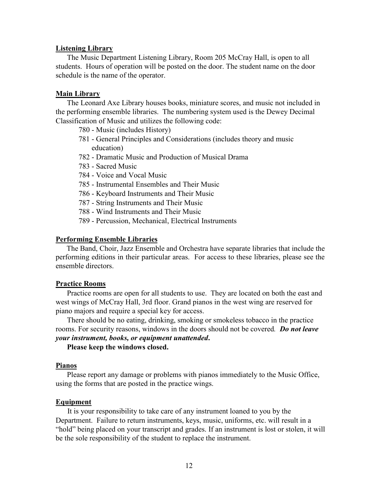#### **Listening Library**

The Music Department Listening Library, Room 205 McCray Hall, is open to all students. Hours of operation will be posted on the door. The student name on the door schedule is the name of the operator.

#### **Main Library**

The Leonard Axe Library houses books, miniature scores, and music not included in the performing ensemble libraries. The numbering system used is the Dewey Decimal Classification of Music and utilizes the following code:

- 780 Music (includes History)
- 781 General Principles and Considerations (includes theory and music education)
- 782 Dramatic Music and Production of Musical Drama
- 783 Sacred Music
- 784 Voice and Vocal Music
- 785 Instrumental Ensembles and Their Music
- 786 Keyboard Instruments and Their Music
- 787 String Instruments and Their Music
- 788 Wind Instruments and Their Music
- 789 Percussion, Mechanical, Electrical Instruments

#### **Performing Ensemble Libraries**

The Band, Choir, Jazz Ensemble and Orchestra have separate libraries that include the performing editions in their particular areas. For access to these libraries, please see the ensemble directors.

#### **Practice Rooms**

Practice rooms are open for all students to use. They are located on both the east and west wings of McCray Hall, 3rd floor. Grand pianos in the west wing are reserved for piano majors and require a special key for access.

There should be no eating, drinking, smoking or smokeless tobacco in the practice rooms. For security reasons, windows in the doors should not be covered*. Do not leave your instrument, books, or equipment unattended***.** 

#### **Please keep the windows closed.**

#### **Pianos**

Please report any damage or problems with pianos immediately to the Music Office, using the forms that are posted in the practice wings.

#### **Equipment**

It is your responsibility to take care of any instrument loaned to you by the Department. Failure to return instruments, keys, music, uniforms, etc. will result in a "hold" being placed on your transcript and grades. If an instrument is lost or stolen, it will be the sole responsibility of the student to replace the instrument.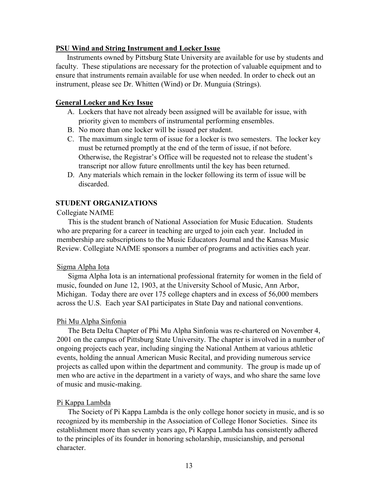#### **PSU Wind and String Instrument and Locker Issue**

Instruments owned by Pittsburg State University are available for use by students and faculty. These stipulations are necessary for the protection of valuable equipment and to ensure that instruments remain available for use when needed. In order to check out an instrument, please see Dr. Whitten (Wind) or Dr. Munguia (Strings).

#### **General Locker and Key Issue**

- A. Lockers that have not already been assigned will be available for issue, with priority given to members of instrumental performing ensembles.
- B. No more than one locker will be issued per student.
- C. The maximum single term of issue for a locker is two semesters. The locker key must be returned promptly at the end of the term of issue, if not before. Otherwise, the Registrar's Office will be requested not to release the student's transcript nor allow future enrollments until the key has been returned.
- D. Any materials which remain in the locker following its term of issue will be discarded.

#### **STUDENT ORGANIZATIONS**

#### Collegiate NAfME

This is the student branch of National Association for Music Education. Students who are preparing for a career in teaching are urged to join each year. Included in membership are subscriptions to the Music Educators Journal and the Kansas Music Review. Collegiate NAfME sponsors a number of programs and activities each year.

#### Sigma Alpha Iota

Sigma Alpha Iota is an international professional fraternity for women in the field of music, founded on June 12, 1903, at the University School of Music, Ann Arbor, Michigan. Today there are over 175 college chapters and in excess of 56,000 members across the U.S. Each year SAI participates in State Day and national conventions.

#### Phi Mu Alpha Sinfonia

The Beta Delta Chapter of Phi Mu Alpha Sinfonia was re-chartered on November 4, 2001 on the campus of Pittsburg State University. The chapter is involved in a number of ongoing projects each year, including singing the National Anthem at various athletic events, holding the annual American Music Recital, and providing numerous service projects as called upon within the department and community. The group is made up of men who are active in the department in a variety of ways, and who share the same love of music and music-making.

#### Pi Kappa Lambda

The Society of Pi Kappa Lambda is the only college honor society in music, and is so recognized by its membership in the Association of College Honor Societies. Since its establishment more than seventy years ago, Pi Kappa Lambda has consistently adhered to the principles of its founder in honoring scholarship, musicianship, and personal character.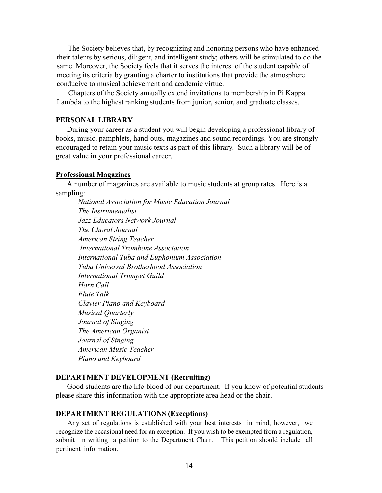The Society believes that, by recognizing and honoring persons who have enhanced their talents by serious, diligent, and intelligent study; others will be stimulated to do the same. Moreover, the Society feels that it serves the interest of the student capable of meeting its criteria by granting a charter to institutions that provide the atmosphere conducive to musical achievement and academic virtue.

Chapters of the Society annually extend invitations to membership in Pi Kappa Lambda to the highest ranking students from junior, senior, and graduate classes.

#### **PERSONAL LIBRARY**

During your career as a student you will begin developing a professional library of books, music, pamphlets, hand-outs, magazines and sound recordings. You are strongly encouraged to retain your music texts as part of this library. Such a library will be of great value in your professional career.

#### **Professional Magazines**

A number of magazines are available to music students at group rates. Here is a sampling:

*National Association for Music Education Journal The Instrumentalist Jazz Educators Network Journal The Choral Journal American String Teacher International Trombone Association International Tuba and Euphonium Association Tuba Universal Brotherhood Association International Trumpet Guild Horn Call Flute Talk Clavier Piano and Keyboard Musical Quarterly Journal of Singing The American Organist Journal of Singing American Music Teacher Piano and Keyboard*

#### **DEPARTMENT DEVELOPMENT (Recruiting)**

Good students are the life-blood of our department. If you know of potential students please share this information with the appropriate area head or the chair.

#### **DEPARTMENT REGULATIONS (Exceptions)**

Any set of regulations is established with your best interests in mind; however, we recognize the occasional need for an exception. If you wish to be exempted from a regulation, submit in writing a petition to the Department Chair. This petition should include all pertinent information.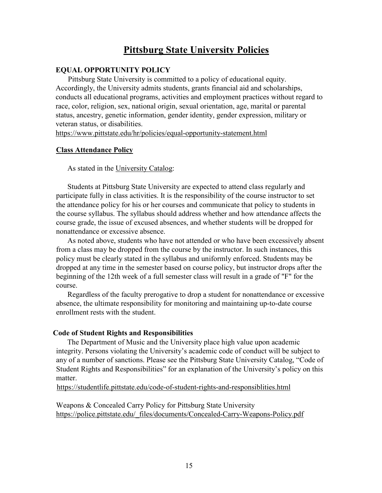#### **Pittsburg State University Policies**

#### **EQUAL OPPORTUNITY POLICY**

Pittsburg State University is committed to a policy of educational equity. Accordingly, the University admits students, grants financial aid and scholarships, conducts all educational programs, activities and employment practices without regard to race, color, religion, sex, national origin, sexual orientation, age, marital or parental status, ancestry, genetic information, gender identity, gender expression, military or veteran status, or disabilities.

<https://www.pittstate.edu/hr/policies/equal-opportunity-statement.html>

#### **Class Attendance Policy**

As stated in the University Catalog:

Students at Pittsburg State University are expected to attend class regularly and participate fully in class activities. It is the responsibility of the course instructor to set the attendance policy for his or her courses and communicate that policy to students in the course syllabus. The syllabus should address whether and how attendance affects the course grade, the issue of excused absences, and whether students will be dropped for nonattendance or excessive absence.

As noted above, students who have not attended or who have been excessively absent from a class may be dropped from the course by the instructor. In such instances, this policy must be clearly stated in the syllabus and uniformly enforced. Students may be dropped at any time in the semester based on course policy, but instructor drops after the beginning of the 12th week of a full semester class will result in a grade of "F" for the course.

Regardless of the faculty prerogative to drop a student for nonattendance or excessive absence, the ultimate responsibility for monitoring and maintaining up-to-date course enrollment rests with the student.

#### **Code of Student Rights and Responsibilities**

The Department of Music and the University place high value upon academic integrity. Persons violating the University's academic code of conduct will be subject to any of a number of sanctions. Please see the Pittsburg State University Catalog, "Code of Student Rights and Responsibilities" for an explanation of the University's policy on this matter.

<https://studentlife.pittstate.edu/code-of-student-rights-and-responsiblities.html>

Weapons & Concealed Carry Policy for Pittsburg State University [https://police.pittstate.edu/\\_files/documents/Concealed-Carry-Weapons-Policy.pdf](https://police.pittstate.edu/_files/documents/Concealed-Carry-Weapons-Policy.pdf)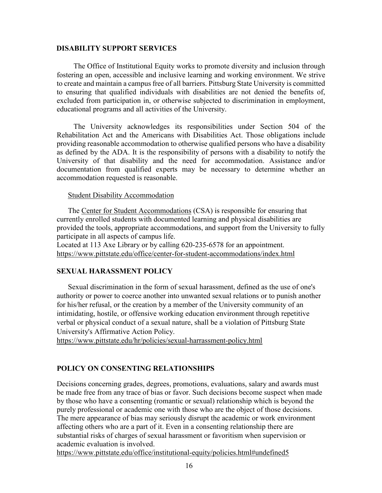#### **DISABILITY SUPPORT SERVICES**

The Office of Institutional Equity works to promote diversity and inclusion through fostering an open, accessible and inclusive learning and working environment. We strive to create and maintain a campus free of all barriers. Pittsburg State University is committed to ensuring that qualified individuals with disabilities are not denied the benefits of, excluded from participation in, or otherwise subjected to discrimination in employment, educational programs and all activities of the University.

The University acknowledges its responsibilities under Section 504 of the Rehabilitation Act and the Americans with Disabilities Act. Those obligations include providing reasonable accommodation to otherwise qualified persons who have a disability as defined by the ADA. It is the responsibility of persons with a disability to notify the University of that disability and the need for accommodation. Assistance and/or documentation from qualified experts may be necessary to determine whether an accommodation requested is reasonable.

#### Student Disability Accommodation

The [Center for Student Accommodations](https://www.pittstate.edu/office/center-for-student-accommodations/index.html) (CSA) is responsible for ensuring that currently enrolled students with documented learning and physical disabilities are provided the tools, appropriate accommodations, and support from the University to fully participate in all aspects of campus life.

Located at 113 Axe Library or by calling 620-235-6578 for an appointment. <https://www.pittstate.edu/office/center-for-student-accommodations/index.html>

#### **SEXUAL HARASSMENT POLICY**

Sexual discrimination in the form of sexual harassment, defined as the use of one's authority or power to coerce another into unwanted sexual relations or to punish another for his/her refusal, or the creation by a member of the University community of an intimidating, hostile, or offensive working education environment through repetitive verbal or physical conduct of a sexual nature, shall be a violation of Pittsburg State University's Affirmative Action Policy.

<https://www.pittstate.edu/hr/policies/sexual-harrassment-policy.html>

#### **POLICY ON CONSENTING RELATIONSHIPS**

Decisions concerning grades, degrees, promotions, evaluations, salary and awards must be made free from any trace of bias or favor. Such decisions become suspect when made by those who have a consenting (romantic or sexual) relationship which is beyond the purely professional or academic one with those who are the object of those decisions. The mere appearance of bias may seriously disrupt the academic or work environment affecting others who are a part of it. Even in a consenting relationship there are substantial risks of charges of sexual harassment or favoritism when supervision or academic evaluation is involved.

<https://www.pittstate.edu/office/institutional-equity/policies.html#undefined5>